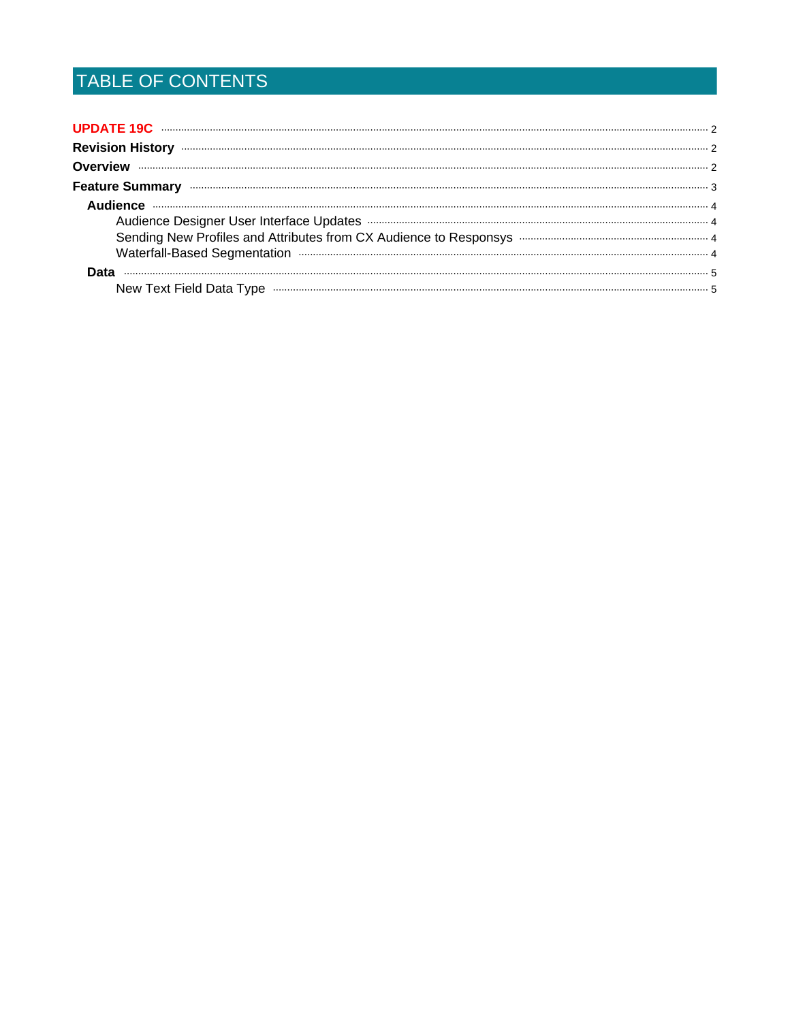# TABLE OF CONTENTS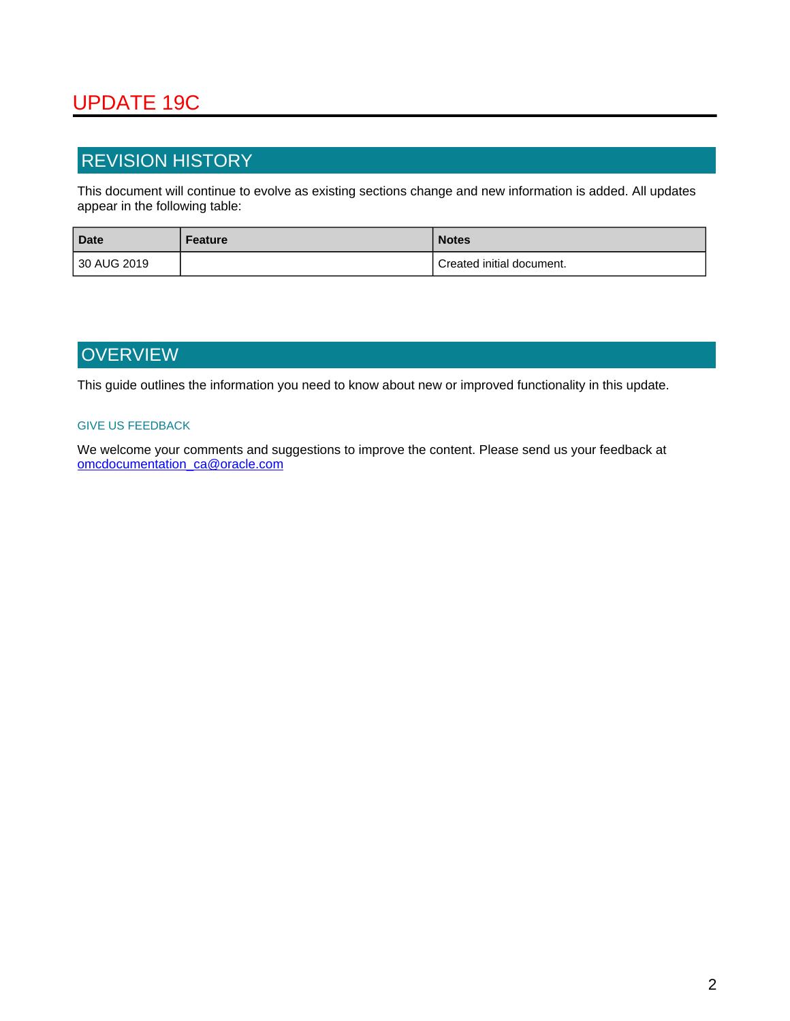# <span id="page-1-0"></span>UPDATE 19C

## <span id="page-1-1"></span>REVISION HISTORY

This document will continue to evolve as existing sections change and new information is added. All updates appear in the following table:

| <b>Date</b> | Feature | <b>Notes</b>              |
|-------------|---------|---------------------------|
| 30 AUG 2019 |         | Created initial document. |

## <span id="page-1-2"></span>**OVERVIEW**

This guide outlines the information you need to know about new or improved functionality in this update.

#### GIVE US FEEDBACK

We welcome your comments and suggestions to improve the content. Please send us your feedback at omcdocumentation\_ca@oracle.com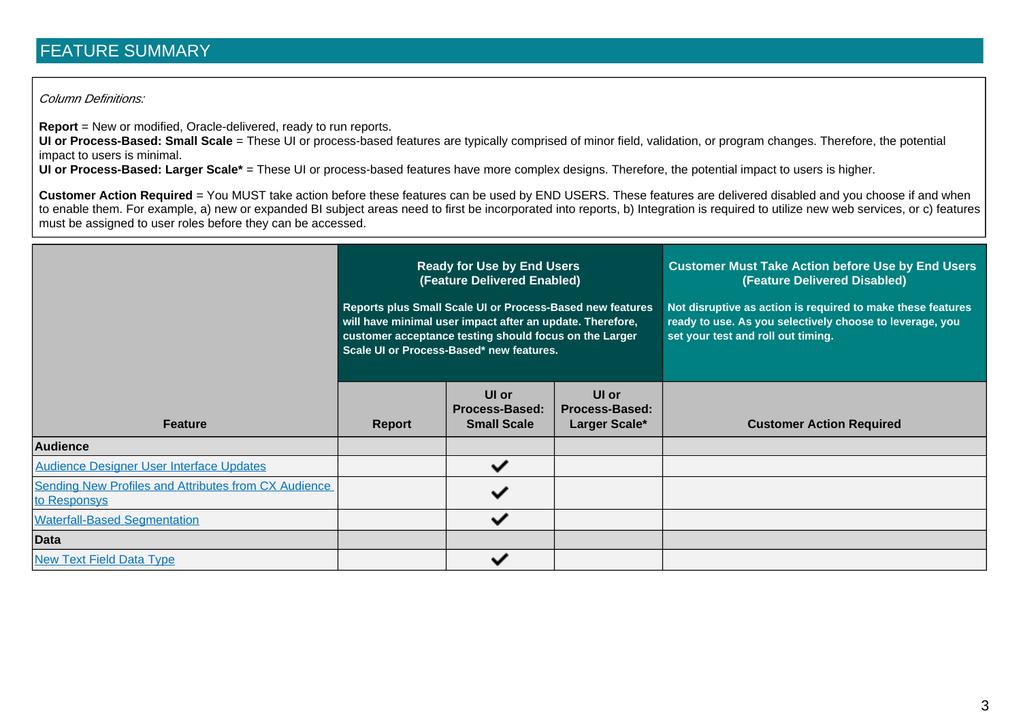## FEATURE SUMMARY

#### Column Definitions:

**Report** = New or modified, Oracle-delivered, ready to run reports.

**UI or Process-Based: Small Scale** = These UI or process-based features are typically comprised of minor field, validation, or program changes. Therefore, the potential impact to users is minimal.

**UI or Process-Based: Larger Scale\*** = These UI or process-based features have more complex designs. Therefore, the potential impact to users is higher.

**Customer Action Required** = You MUST take action before these features can be used by END USERS. These features are delivered disabled and you choose if and when to enable them. For example, a) new or expanded BI subject areas need to first be incorporated into reports, b) Integration is required to utilize new web services, or c) features must be assigned to user roles before they can be accessed.

<span id="page-2-0"></span>

|                                                                             | <b>Ready for Use by End Users</b><br>(Feature Delivered Enabled)<br>Reports plus Small Scale UI or Process-Based new features<br>will have minimal user impact after an update. Therefore,<br>customer acceptance testing should focus on the Larger<br>Scale UI or Process-Based* new features. |                                                      |                                          | <b>Customer Must Take Action before Use by End Users</b><br>(Feature Delivered Disabled)<br>Not disruptive as action is required to make these features<br>ready to use. As you selectively choose to leverage, you<br>set your test and roll out timing. |
|-----------------------------------------------------------------------------|--------------------------------------------------------------------------------------------------------------------------------------------------------------------------------------------------------------------------------------------------------------------------------------------------|------------------------------------------------------|------------------------------------------|-----------------------------------------------------------------------------------------------------------------------------------------------------------------------------------------------------------------------------------------------------------|
| <b>Feature</b>                                                              | <b>Report</b>                                                                                                                                                                                                                                                                                    | UI or<br><b>Process-Based:</b><br><b>Small Scale</b> | UI or<br>Process-Based:<br>Larger Scale* | <b>Customer Action Required</b>                                                                                                                                                                                                                           |
| <b>Audience</b>                                                             |                                                                                                                                                                                                                                                                                                  |                                                      |                                          |                                                                                                                                                                                                                                                           |
| <b>Audience Designer User Interface Updates</b>                             |                                                                                                                                                                                                                                                                                                  | ✓                                                    |                                          |                                                                                                                                                                                                                                                           |
| <b>Sending New Profiles and Attributes from CX Audience</b><br>to Responsys |                                                                                                                                                                                                                                                                                                  | ✓                                                    |                                          |                                                                                                                                                                                                                                                           |
| <b>Waterfall-Based Segmentation</b>                                         |                                                                                                                                                                                                                                                                                                  | ✓                                                    |                                          |                                                                                                                                                                                                                                                           |
| <b>Data</b>                                                                 |                                                                                                                                                                                                                                                                                                  |                                                      |                                          |                                                                                                                                                                                                                                                           |
| <b>New Text Field Data Type</b>                                             |                                                                                                                                                                                                                                                                                                  | ັ                                                    |                                          |                                                                                                                                                                                                                                                           |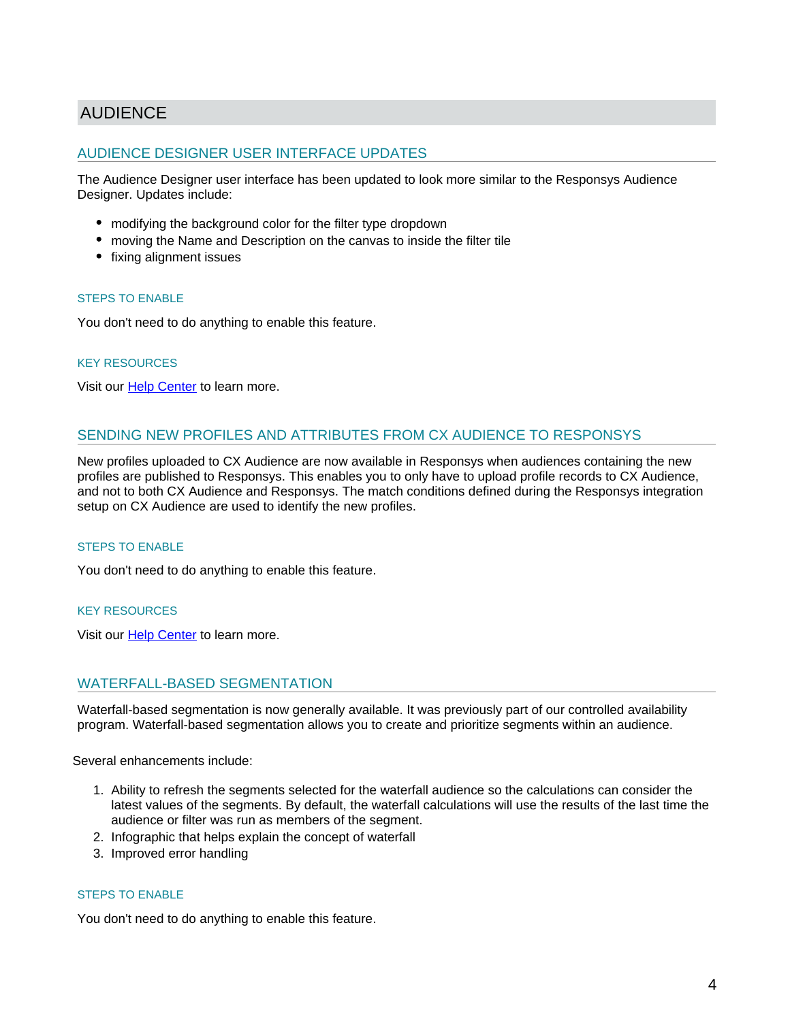### <span id="page-3-5"></span><span id="page-3-4"></span><span id="page-3-0"></span>AUDIENCE

### <span id="page-3-1"></span>AUDIENCE DESIGNER USER INTERFACE UPDATES

<span id="page-3-6"></span>The Audience Designer user interface has been updated to look more similar to the Responsys Audience Designer. Updates include:

- modifying the background color for the filter type dropdown
- moving the Name and Description on the canvas to inside the filter tile
- fixing alignment issues

#### STEPS TO ENABLE

You don't need to do anything to enable this feature.

#### KEY RESOURCES

Visit our **[Help Center](https://docs.oracle.com/cloud/latest/marketingcs_gs/OMCEH/index.html#cshid=Audiences_Overview)** to learn more.

#### <span id="page-3-7"></span><span id="page-3-2"></span>SENDING NEW PROFILES AND ATTRIBUTES FROM CX AUDIENCE TO RESPONSYS

New profiles uploaded to CX Audience are now available in Responsys when audiences containing the new profiles are published to Responsys. This enables you to only have to upload profile records to CX Audience, and not to both CX Audience and Responsys. The match conditions defined during the Responsys integration setup on CX Audience are used to identify the new profiles.

#### STEPS TO ENABLE

You don't need to do anything to enable this feature.

#### KEY RESOURCES

Visit our **[Help Center](https://docs.oracle.com/cloud/latest/marketingcs_gs/OMCEH/index.html#cshid=Integrate_Responsys)** to learn more.

#### <span id="page-3-3"></span>WATERFALL-BASED SEGMENTATION

Waterfall-based segmentation is now generally available. It was previously part of our controlled availability program. Waterfall-based segmentation allows you to create and prioritize segments within an audience.

Several enhancements include:

- 1. Ability to refresh the segments selected for the waterfall audience so the calculations can consider the latest values of the segments. By default, the waterfall calculations will use the results of the last time the audience or filter was run as members of the segment.
- 2. Infographic that helps explain the concept of waterfall
- 3. Improved error handling

#### STEPS TO ENABLE

You don't need to do anything to enable this feature.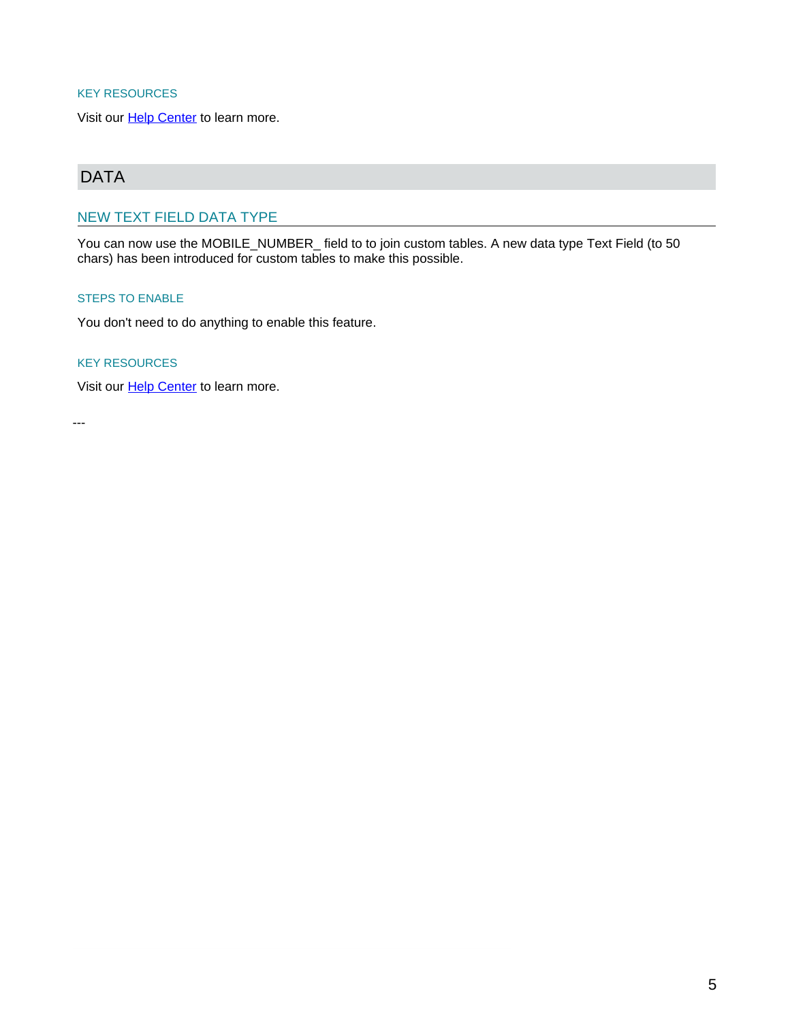#### <span id="page-4-3"></span><span id="page-4-2"></span>KEY RESOURCES

Visit our **[Help Center](https://docs.oracle.com/cloud/latest/marketingcs_gs/OMCEH/index.html#cshid=Audiences_SegOverview)** to learn more.

## <span id="page-4-0"></span>DATA

### <span id="page-4-1"></span>NEW TEXT FIELD DATA TYPE

You can now use the MOBILE\_NUMBER\_ field to to join custom tables. A new data type Text Field (to 50 chars) has been introduced for custom tables to make this possible.

#### STEPS TO ENABLE

You don't need to do anything to enable this feature.

#### KEY RESOURCES

Visit our **[Help Center](https://docs.oracle.com/cloud/latest/marketingcs_gs/OMCEH/List_DataTypeFieldname.htm?cshid=List_DataTypeFieldname#datatypes)** to learn more.

---